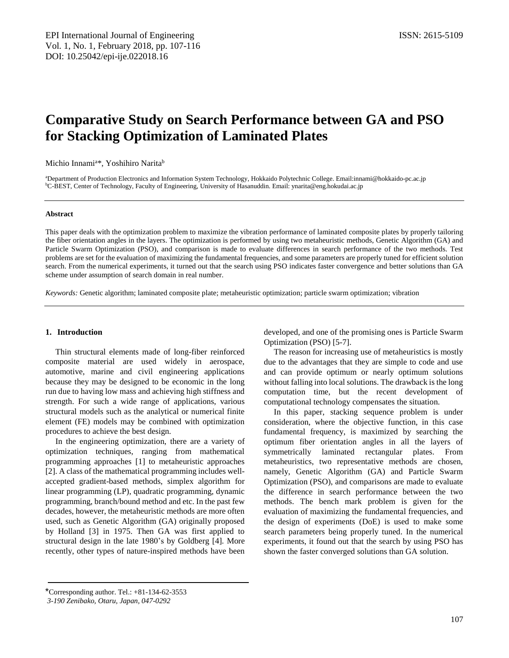# **Comparative Study on Search Performance between GA and PSO for Stacking Optimization of Laminated Plates**

Michio Innami<sup>a\*</sup>, Yoshihiro Narita<sup>b</sup>

<sup>a</sup>Department of Production Electronics and Information System Technology, Hokkaido Polytechnic College. Email:innami@hokkaido-pc.ac.jp <sup>b</sup>C-BEST, Center of Technology, Faculty of Engineering, University of Hasanuddin. Email: ynarita@eng.hokudai.ac.jp

## **Abstract**

This paper deals with the optimization problem to maximize the vibration performance of laminated composite plates by properly tailoring the fiber orientation angles in the layers. The optimization is performed by using two metaheuristic methods, Genetic Algorithm (GA) and Particle Swarm Optimization (PSO), and comparison is made to evaluate differences in search performance of the two methods. Test problems are set for the evaluation of maximizing the fundamental frequencies, and some parameters are properly tuned for efficient solution search. From the numerical experiments, it turned out that the search using PSO indicates faster convergence and better solutions than GA scheme under assumption of search domain in real number.

*Keywords:* Genetic algorithm; laminated composite plate; metaheuristic optimization; particle swarm optimization; vibration

## **1. Introduction**

Thin structural elements made of long-fiber reinforced composite material are used widely in aerospace, automotive, marine and civil engineering applications because they may be designed to be economic in the long run due to having low mass and achieving high stiffness and strength. For such a wide range of applications, various structural models such as the analytical or numerical finite element (FE) models may be combined with optimization procedures to achieve the best design.

In the engineering optimization, there are a variety of optimization techniques, ranging from mathematical programming approaches [1] to metaheuristic approaches [2]. A class of the mathematical programming includes wellaccepted gradient-based methods, simplex algorithm for linear programming (LP), quadratic programming, dynamic programming, branch/bound method and etc. In the past few decades, however, the metaheuristic methods are more often used, such as Genetic Algorithm (GA) originally proposed by Holland [3] in 1975. Then GA was first applied to structural design in the late 1980's by Goldberg [4]. More recently, other types of nature-inspired methods have been developed, and one of the promising ones is Particle Swarm Optimization (PSO) [5-7].

The reason for increasing use of metaheuristics is mostly due to the advantages that they are simple to code and use and can provide optimum or nearly optimum solutions without falling into local solutions. The drawback is the long computation time, but the recent development of computational technology compensates the situation.

In this paper, stacking sequence problem is under consideration, where the objective function, in this case fundamental frequency, is maximized by searching the optimum fiber orientation angles in all the layers of symmetrically laminated rectangular plates. From metaheuristics, two representative methods are chosen, namely, Genetic Algorithm (GA) and Particle Swarm Optimization (PSO), and comparisons are made to evaluate the difference in search performance between the two methods. The bench mark problem is given for the evaluation of maximizing the fundamental frequencies, and the design of experiments (DoE) is used to make some search parameters being properly tuned. In the numerical experiments, it found out that the search by using PSO has shown the faster converged solutions than GA solution.

<sup>\*</sup>Corresponding author. Tel.: +81-134-62-3553

*<sup>3-190</sup> Zenibako, Otaru, Japan, 047-0292*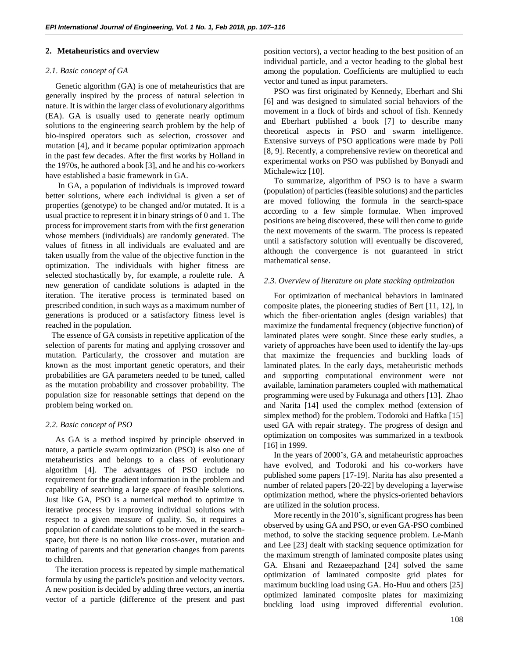#### **2. Metaheuristics and overview**

## *2.1. Basic concept of GA*

Genetic algorithm (GA) is one of metaheuristics that are generally inspired by the process of natural selection in nature. It is within the larger class of evolutionary algorithms (EA). GA is usually used to generate nearly optimum solutions to the engineering search problem by the help of bio-inspired operators such as selection, crossover and mutation [4], and it became popular optimization approach in the past few decades. After the first works by Holland in the 1970s, he authored a book [3], and he and his co-workers have established a basic framework in GA.

In GA, a population of individuals is improved toward better solutions, where each individual is given a set of properties (genotype) to be changed and/or mutated. It is a usual practice to represent it in binary strings of 0 and 1. The process for improvement starts from with the first generation whose members (individuals) are randomly generated. The values of fitness in all individuals are evaluated and are taken usually from the value of the objective function in the optimization. The individuals with higher fitness are selected stochastically by, for example, a roulette rule. A new generation of candidate solutions is adapted in the iteration. The iterative process is terminated based on prescribed condition, in such ways as a maximum number of generations is produced or a satisfactory fitness level is reached in the population.

 The essence of GA consists in repetitive application of the selection of parents for mating and applying crossover and mutation. Particularly, the crossover and mutation are known as the most important genetic operators, and their probabilities are GA parameters needed to be tuned, called as the mutation probability and crossover probability. The population size for reasonable settings that depend on the problem being worked on.

# *2.2. Basic concept of PSO*

As GA is a method inspired by principle observed in nature, a particle swarm optimization (PSO) is also one of metaheuristics and belongs to a class of evolutionary algorithm [4]. The advantages of PSO include no requirement for the gradient information in the problem and capability of searching a large space of feasible solutions. Just like GA, PSO is a numerical method to optimize in iterative process by improving individual solutions with respect to a given measure of quality. So, it requires a population of candidate solutions to be moved in the searchspace, but there is no notion like cross-over, mutation and mating of parents and that generation changes from parents to children.

The iteration process is repeated by simple mathematical formula by using the particle's position and velocity vectors. A new position is decided by adding three vectors, an inertia vector of a particle (difference of the present and past position vectors), a vector heading to the best position of an individual particle, and a vector heading to the global best among the population. Coefficients are multiplied to each vector and tuned as input parameters.

PSO was first originated by Kennedy, Eberhart and Shi [6] and was designed to simulated social behaviors of the movement in a flock of birds and school of fish. Kennedy and Eberhart published a book [7] to describe many theoretical aspects in PSO and swarm intelligence. Extensive surveys of PSO applications were made by Poli [8, 9]. Recently, a comprehensive review on theoretical and experimental works on PSO was published by Bonyadi and Michalewicz [10].

To summarize, algorithm of PSO is to have a swarm (population) of particles (feasible solutions) and the particles are moved following the formula in the search-space according to a few simple formulae. When improved positions are being discovered, these will then come to guide the next movements of the swarm. The process is repeated until a satisfactory solution will eventually be discovered, although the convergence is not guaranteed in strict mathematical sense.

## *2.3. Overview of literature on plate stacking optimization*

For optimization of mechanical behaviors in laminated composite plates, the pioneering studies of Bert [11, 12], in which the fiber-orientation angles (design variables) that maximize the fundamental frequency (objective function) of laminated plates were sought. Since these early studies, a variety of approaches have been used to identify the lay-ups that maximize the frequencies and buckling loads of laminated plates. In the early days, metaheuristic methods and supporting computational environment were not available, lamination parameters coupled with mathematical programming were used by Fukunaga and others [13]. Zhao and Narita [14] used the complex method (extension of simplex method) for the problem. Todoroki and Haftka [15] used GA with repair strategy. The progress of design and optimization on composites was summarized in a textbook [16] in 1999.

In the years of 2000's, GA and metaheuristic approaches have evolved, and Todoroki and his co-workers have published some papers [17-19]. Narita has also presented a number of related papers [20-22] by developing a layerwise optimization method, where the physics-oriented behaviors are utilized in the solution process.

More recently in the 2010's, significant progress has been observed by using GA and PSO, or even GA-PSO combined method, to solve the stacking sequence problem. Le-Manh and Lee [23] dealt with stacking sequence optimization for the maximum strength of laminated composite plates using GA. Ehsani and Rezaeepazhand [24] solved the same optimization of laminated composite grid plates for maximum buckling load using GA. Ho-Huu and others [25] optimized laminated composite plates for maximizing buckling load using improved differential evolution.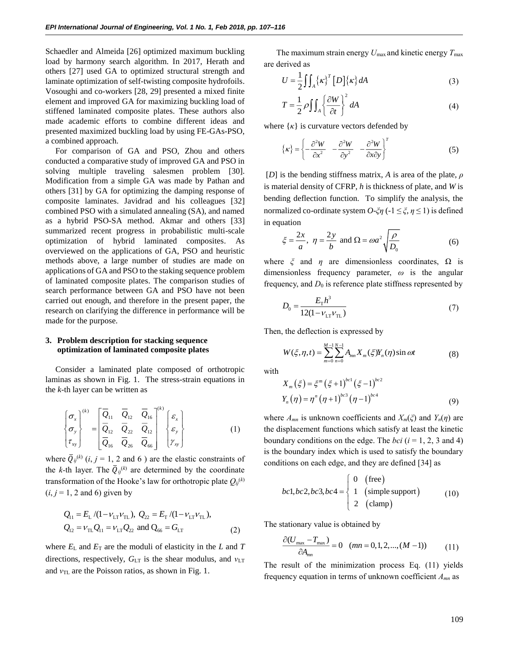Schaedler and Almeida [26] optimized maximum buckling load by harmony search algorithm. In 2017, Herath and others [27] used GA to optimized structural strength and laminate optimization of self-twisting composite hydrofoils. Vosoughi and co-workers [28, 29] presented a mixed finite element and improved GA for maximizing buckling load of stiffened laminated composite plates. These authors also made academic efforts to combine different ideas and presented maximized buckling load by using FE-GAs-PSO, a combined approach.

For comparison of GA and PSO, Zhou and others conducted a comparative study of improved GA and PSO in solving multiple traveling salesmen problem [30]. Modification from a simple GA was made by Pathan and others [31] by GA for optimizing the damping response of composite laminates. Javidrad and his colleagues [32] combined PSO with a simulated annealing (SA), and named as a hybrid PSO-SA method. Akmar and others [33] summarized recent progress in probabilistic multi-scale optimization of hybrid laminated composites. As overviewed on the applications of GA, PSO and heuristic methods above, a large number of studies are made on applications of GA and PSO to the staking sequence problem of laminated composite plates. The comparison studies of search performance between GA and PSO have not been carried out enough, and therefore in the present paper, the research on clarifying the difference in performance will be made for the purpose.

# **3. Problem description for stacking sequence optimization of laminated composite plates**

Consider a laminated plate composed of orthotropic laminas as shown in Fig. 1. The stress-strain equations in the *k-*th layer can be written as

$$
\begin{Bmatrix}\n\sigma_x \\
\sigma_y \\
\tau_{xy}\n\end{Bmatrix}^{(k)} = \begin{bmatrix}\n\overline{Q}_{11} & \overline{Q}_{12} & \overline{Q}_{16} \\
\overline{Q}_{12} & \overline{Q}_{22} & \overline{Q}_{12} \\
\overline{Q}_{16} & \overline{Q}_{26} & \overline{Q}_{66}\n\end{bmatrix}^{(k)} \begin{Bmatrix}\n\varepsilon_x \\
\varepsilon_y \\
\gamma_{xy}\n\end{Bmatrix}
$$
\n(1)

where  $\overline{Q}_{ij}^{(k)}$  (*i*, *j* = 1, 2 and 6) are the elastic constraints of the *k*-th layer. The  $\overline{Q}_{ij}^{(k)}$  are determined by the coordinate transformation of the Hooke's law for orthotropic plate  $Q_{ij}^{(k)}$  $(i, j = 1, 2$  and 6) given by

$$
Q_{11} = E_{\rm L} / (1 - \nu_{\rm LT} \nu_{\rm TL}), \ Q_{22} = E_{\rm T} / (1 - \nu_{\rm LT} \nu_{\rm TL}),
$$
  
\n
$$
Q_{12} = \nu_{\rm TL} Q_{11} = \nu_{\rm LT} Q_{22} \text{ and } Q_{66} = G_{\rm LT}
$$
 (2)

where  $E_{\rm L}$  and  $E_{\rm T}$  are the moduli of elasticity in the  $L$  and  $T$ directions, respectively, *G*LT is the shear modulus, and *ν*LT and *ν*TL are the Poisson ratios, as shown in Fig. 1.

The maximum strain energy  $U_{\text{max}}$  and kinetic energy  $T_{\text{max}}$ are derived as

$$
U = \frac{1}{2} \iint_{A} {\{\kappa\}}^{T} [D] {\{\kappa\}} dA
$$
 (3)

$$
T = \frac{1}{2} \rho \iint_{A} \left\{ \frac{\partial W}{\partial t} \right\}^{2} dA
$$
 (4)

where  $\{k\}$  is curvature vectors defended by

$$
\{\kappa\} = \left\{ -\frac{\partial^2 W}{\partial x^2} - \frac{\partial^2 W}{\partial y^2} - \frac{\partial^2 W}{\partial x \partial y} \right\}^T
$$
 (5)

[*D*] is the bending stiffness matrix, *A* is area of the plate, *ρ* is material density of CFRP, *h* is thickness of plate, and *W* is bending deflection function. To simplify the analysis, the normalized co-ordinate system *O*-*ξη* (-1 ≤ *ξ*, *η* ≤ 1) is defined in equation

$$
\xi = \frac{2x}{a}, \ \eta = \frac{2y}{b} \text{ and } \Omega = \omega a^2 \sqrt{\frac{\rho}{D_0}}
$$
 (6)

where  $\xi$  and  $\eta$  are dimensionless coordinates,  $\Omega$  is dimensionless frequency parameter, *ω* is the angular frequency, and  $D_0$  is reference plate stiffness represented by

$$
D_0 = \frac{E_{\rm T}h^3}{12(1 - v_{\rm LT}v_{\rm TL})}
$$
\n(7)

Then, the deflection is expressed by

$$
W(\xi, \eta, t) = \sum_{m=0}^{M-1} \sum_{n=0}^{N-1} A_{mn} X_m(\xi) Y_n(\eta) \sin \omega t
$$
 (8)

with

$$
X_{m}(\xi) = \xi^{m} (\xi + 1)^{bc1} (\xi - 1)^{bc2}
$$
  
\n
$$
Y_{n}(\eta) = \eta^{n} (\eta + 1)^{bc3} (\eta - 1)^{bc4}
$$
 (9)

where  $A_{mn}$  is unknown coefficients and  $X_m(\xi)$  and  $Y_n(\eta)$  are the displacement functions which satisfy at least the kinetic boundary conditions on the edge. The *bci*  $(i = 1, 2, 3$  and 4) is the boundary index which is used to satisfy the boundary conditions on each edge, and they are defined [34] as

$$
bc1, bc2, bc3, bc4 = \begin{cases} 0 & \text{(free)}\\ 1 & \text{(simple support)}\\ 2 & \text{(clamp)} \end{cases}
$$
 (10)

The stationary value is obtained by

$$
\frac{\partial (U_{\text{max}} - T_{\text{max}})}{\partial A_{mn}} = 0 \quad (mn = 0, 1, 2, ..., (M - 1)) \tag{11}
$$

The result of the minimization process Eq. (11) yields frequency equation in terms of unknown coefficient *Amn* as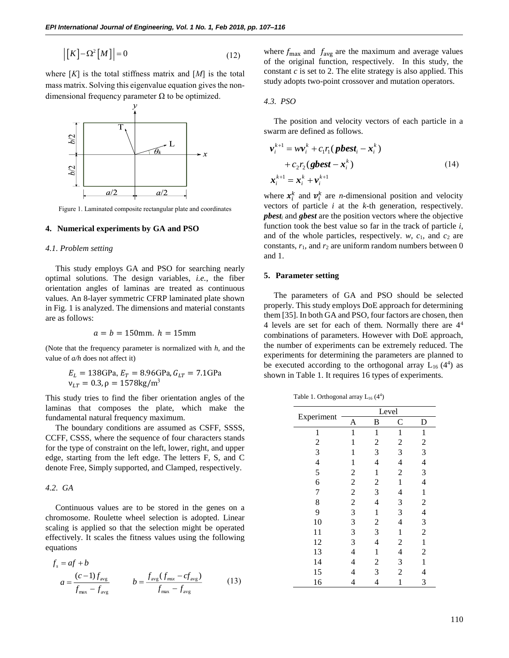$$
\left| \left[ K \right] - \Omega^2 \left[ M \right] \right| = 0 \tag{12}
$$

where  $[K]$  is the total stiffness matrix and  $[M]$  is the total mass matrix. Solving this eigenvalue equation gives the nondimensional frequency parameter  $\Omega$  to be optimized.



Figure 1. Laminated composite rectangular plate and coordinates

#### **4. Numerical experiments by GA and PSO**

#### *4.1. Problem setting*

This study employs GA and PSO for searching nearly optimal solutions. The design variables, *i.e.*, the fiber orientation angles of laminas are treated as continuous values. An 8-layer symmetric CFRP laminated plate shown in Fig. 1 is analyzed. The dimensions and material constants are as follows:

$$
a = b = 150 \text{mm}.
$$
  $h = 15 \text{mm}$ 

(Note that the frequency parameter is normalized with *h*, and the value of *a/h* does not affect it)

$$
E_L = 138
$$
GPa,  $E_T = 8.96$ GPa,  $G_{LT} = 7.1$ GPa  
 $v_{LT} = 0.3$ ,  $\rho = 1578$ kg/m<sup>3</sup>

This study tries to find the fiber orientation angles of the laminas that composes the plate, which make the fundamental natural frequency maximum.

The boundary conditions are assumed as CSFF, SSSS, CCFF, CSSS, where the sequence of four characters stands for the type of constraint on the left, lower, right, and upper edge, starting from the left edge. The letters F, S, and C denote Free, Simply supported, and Clamped, respectively.

## *4.2. GA*

Continuous values are to be stored in the genes on a chromosome. Roulette wheel selection is adopted. Linear scaling is applied so that the selection might be operated effectively. It scales the fitness values using the following equations

$$
f_s = af + b
$$
  
\n
$$
a = \frac{(c-1)f_{\text{avg}}}{f_{\text{max}} - f_{\text{avg}}}
$$
 
$$
b = \frac{f_{\text{avg}}(f_{\text{max}} - cf_{\text{avg}})}{f_{\text{max}} - f_{\text{avg}}}
$$
 (13)

*4.3. PSO*

$$
\mathbf{v}_{i}^{k+1} = \boldsymbol{w}\mathbf{v}_{i}^{k} + c_{1}r_{1}(\boldsymbol{p}\boldsymbol{b}\boldsymbol{e}\boldsymbol{s}\boldsymbol{t}_{i} - \boldsymbol{x}_{i}^{k})
$$
  
+ 
$$
c_{2}r_{2}(\boldsymbol{g}\boldsymbol{b}\boldsymbol{e}\boldsymbol{s}\boldsymbol{t} - \boldsymbol{x}_{i}^{k})
$$
  

$$
\mathbf{x}_{i}^{k+1} = \mathbf{x}_{i}^{k} + \mathbf{v}_{i}^{k+1}
$$
 (14)

#### **5. Parameter setting**

Table 1. Orthogonal array  $L_{16}$  (4<sup>4</sup>)

| $[K]$ - $\Omega^2[M]$ = 0<br>(12)<br>$[K]$ is the total stiffness matrix and $[M]$ is the total<br>natrix. Solving this eigenvalue equation gives the non-<br>sional frequency parameter $\Omega$ to be optimized. | where $f_{\text{max}}$ and $f_{\text{avg}}$ are the maximum and average values<br>of the original function, respectively. In this study, the<br>constant $c$ is set to 2. The elite strategy is also applied. This<br>study adopts two-point crossover and mutation operators.<br>4.3. PSO                                                                                                                                       |                                                         |                         |                         |                              |                                         |      |
|--------------------------------------------------------------------------------------------------------------------------------------------------------------------------------------------------------------------|----------------------------------------------------------------------------------------------------------------------------------------------------------------------------------------------------------------------------------------------------------------------------------------------------------------------------------------------------------------------------------------------------------------------------------|---------------------------------------------------------|-------------------------|-------------------------|------------------------------|-----------------------------------------|------|
| 5/9                                                                                                                                                                                                                | swarm are defined as follows.                                                                                                                                                                                                                                                                                                                                                                                                    | The position and velocity vectors of each particle in a |                         |                         |                              |                                         |      |
| $\boldsymbol{\chi}$                                                                                                                                                                                                |                                                                                                                                                                                                                                                                                                                                                                                                                                  | $v_i^{k+1} = w v_i^k + c_1 r_1 (p best_i - x_i^k)$      |                         |                         |                              |                                         |      |
| Ы2                                                                                                                                                                                                                 |                                                                                                                                                                                                                                                                                                                                                                                                                                  | + $c_2r_2$ (gbest $-x_i^k$ )                            |                         |                         |                              |                                         | (14) |
|                                                                                                                                                                                                                    | $x_i^{k+1} = x_i^k + v_i^{k+1}$                                                                                                                                                                                                                                                                                                                                                                                                  |                                                         |                         |                         |                              |                                         |      |
| a/2<br>a/2                                                                                                                                                                                                         | where $x_i^k$ and $v_i^k$ are <i>n</i> -dimensional position and velocity                                                                                                                                                                                                                                                                                                                                                        |                                                         |                         |                         |                              |                                         |      |
| ure 1. Laminated composite rectangular plate and coordinates                                                                                                                                                       | vectors of particle $i$ at the $k$ -th generation, respectively.                                                                                                                                                                                                                                                                                                                                                                 |                                                         |                         |                         |                              |                                         |      |
| merical experiments by GA and PSO<br>oblem setting                                                                                                                                                                 | $\boldsymbol{p} \boldsymbol{b} \boldsymbol{e} \boldsymbol{s} \boldsymbol{t}_i$ and $\boldsymbol{g} \boldsymbol{b} \boldsymbol{e} \boldsymbol{s} \boldsymbol{t}$ are the position vectors where the objective<br>function took the best value so far in the track of particle $i$ ,<br>and of the whole particles, respectively. $w$ , $c_1$ , and $c_2$ are<br>constants, $r_1$ , and $r_2$ are uniform random numbers between 0 |                                                         |                         |                         |                              |                                         |      |
|                                                                                                                                                                                                                    | and 1.                                                                                                                                                                                                                                                                                                                                                                                                                           |                                                         |                         |                         |                              |                                         |      |
| s study employs GA and PSO for searching nearly<br>al solutions. The design variables, i.e., the fiber                                                                                                             | 5. Parameter setting                                                                                                                                                                                                                                                                                                                                                                                                             |                                                         |                         |                         |                              |                                         |      |
| ttion angles of laminas are treated as continuous<br>. An 8-layer symmetric CFRP laminated plate shown<br>1 is analyzed. The dimensions and material constants<br>follows:                                         | The parameters of GA and PSO should be selected<br>properly. This study employs DoE approach for determining<br>them [35]. In both GA and PSO, four factors are chosen, then<br>4 levels are set for each of them. Normally there are $44$                                                                                                                                                                                       |                                                         |                         |                         |                              |                                         |      |
| $a = b = 150$ mm. $h = 15$ mm                                                                                                                                                                                      | combinations of parameters. However with DoE approach,                                                                                                                                                                                                                                                                                                                                                                           |                                                         |                         |                         |                              |                                         |      |
| hat the frequency parameter is normalized with $h$ , and the<br>f a/h does not affect it)                                                                                                                          | the number of experiments can be extremely reduced. The<br>experiments for determining the parameters are planned to                                                                                                                                                                                                                                                                                                             |                                                         |                         |                         |                              |                                         |      |
| $E_L = 138$ GPa, $E_T = 8.96$ GPa, $G_{LT} = 7.1$ GPa<br>$v_{LT} = 0.3, \rho = 1578 \text{kg/m}^3$                                                                                                                 | be executed according to the orthogonal array $L_{16}(4^4)$ as<br>shown in Table 1. It requires 16 types of experiments.                                                                                                                                                                                                                                                                                                         |                                                         |                         |                         |                              |                                         |      |
| tudy tries to find the fiber orientation angles of the                                                                                                                                                             |                                                                                                                                                                                                                                                                                                                                                                                                                                  | Table 1. Orthogonal array $L_{16}(4^4)$                 |                         |                         |                              |                                         |      |
| is that composes the plate, which make the<br>nental natural frequency maximum.                                                                                                                                    |                                                                                                                                                                                                                                                                                                                                                                                                                                  | Experiment                                              |                         | Level                   |                              |                                         |      |
| boundary conditions are assumed as CSFF, SSSS,                                                                                                                                                                     |                                                                                                                                                                                                                                                                                                                                                                                                                                  |                                                         | A                       | B<br>$\mathbf{1}$       | $\subset$                    | D                                       |      |
| CSSS, where the sequence of four characters stands                                                                                                                                                                 |                                                                                                                                                                                                                                                                                                                                                                                                                                  | 1<br>$\overline{c}$                                     | $\mathbf{1}$<br>1       | $\overline{c}$          | 1<br>$\overline{\mathbf{c}}$ | $\mathbf{1}$<br>$\overline{\mathbf{c}}$ |      |
| type of constraint on the left, lower, right, and upper                                                                                                                                                            |                                                                                                                                                                                                                                                                                                                                                                                                                                  | 3                                                       | 1                       | 3                       | 3                            | 3                                       |      |
| starting from the left edge. The letters F, S, and C                                                                                                                                                               |                                                                                                                                                                                                                                                                                                                                                                                                                                  | 4                                                       | 1                       | 4                       | 4                            | 4                                       |      |
| Free, Simply supported, and Clamped, respectively.                                                                                                                                                                 |                                                                                                                                                                                                                                                                                                                                                                                                                                  | 5                                                       | $\overline{c}$          | $\mathbf 1$             | $\overline{c}$               | 3                                       |      |
|                                                                                                                                                                                                                    |                                                                                                                                                                                                                                                                                                                                                                                                                                  | 6                                                       | $\overline{\mathbf{c}}$ | $\overline{\mathbf{c}}$ | $\mathbf{1}$                 | 4                                       |      |
| Ά                                                                                                                                                                                                                  |                                                                                                                                                                                                                                                                                                                                                                                                                                  | 7                                                       | $\overline{c}$          | 3                       |                              |                                         |      |
|                                                                                                                                                                                                                    |                                                                                                                                                                                                                                                                                                                                                                                                                                  |                                                         |                         |                         | 4                            | $\mathbf{1}$                            |      |
| itinuous values are to be stored in the genes on a                                                                                                                                                                 |                                                                                                                                                                                                                                                                                                                                                                                                                                  | 8                                                       | $\overline{c}$          | 4                       | 3                            | $\overline{c}$                          |      |
| osome. Roulette wheel selection is adopted. Linear                                                                                                                                                                 |                                                                                                                                                                                                                                                                                                                                                                                                                                  | 9                                                       | 3                       | $\mathbf{1}$            | 3                            | 4                                       |      |
| is applied so that the selection might be operated                                                                                                                                                                 |                                                                                                                                                                                                                                                                                                                                                                                                                                  | 10                                                      | 3                       | $\overline{\mathbf{c}}$ | 4                            | 3                                       |      |
| vely. It scales the fitness values using the following                                                                                                                                                             |                                                                                                                                                                                                                                                                                                                                                                                                                                  | 11                                                      | 3                       | 3                       | $\mathbf{1}$                 | $\overline{c}$                          |      |
|                                                                                                                                                                                                                    |                                                                                                                                                                                                                                                                                                                                                                                                                                  | 12                                                      | 3                       | 4                       | 2                            | $\mathbf{1}$                            |      |
| ons                                                                                                                                                                                                                |                                                                                                                                                                                                                                                                                                                                                                                                                                  | 13                                                      | 4                       | $\mathbf{1}$            | 4                            | $\overline{c}$                          |      |
| $af + b$                                                                                                                                                                                                           |                                                                                                                                                                                                                                                                                                                                                                                                                                  | 14                                                      | 4                       | $\overline{\mathbf{c}}$ | 3                            | $\mathbf{1}$                            |      |
|                                                                                                                                                                                                                    |                                                                                                                                                                                                                                                                                                                                                                                                                                  | 15                                                      | 4                       | $\sqrt{3}$              | $\overline{c}$               | $\overline{4}$                          |      |
| (13)                                                                                                                                                                                                               |                                                                                                                                                                                                                                                                                                                                                                                                                                  | 16                                                      | 4                       | 4                       | 1                            | 3                                       |      |
| $=\frac{(c-1)f_{\text{avg}}}{f_{\text{max}}-f_{\text{avg}}}.$<br>$b = \frac{f_{\text{avg}}(f_{\text{max}} - cf_{\text{avg}})}{f_{\text{max}} - f_{\text{avg}}}$                                                    |                                                                                                                                                                                                                                                                                                                                                                                                                                  |                                                         |                         |                         |                              |                                         |      |
|                                                                                                                                                                                                                    |                                                                                                                                                                                                                                                                                                                                                                                                                                  |                                                         |                         |                         |                              |                                         |      |
|                                                                                                                                                                                                                    |                                                                                                                                                                                                                                                                                                                                                                                                                                  |                                                         |                         |                         |                              |                                         | 110  |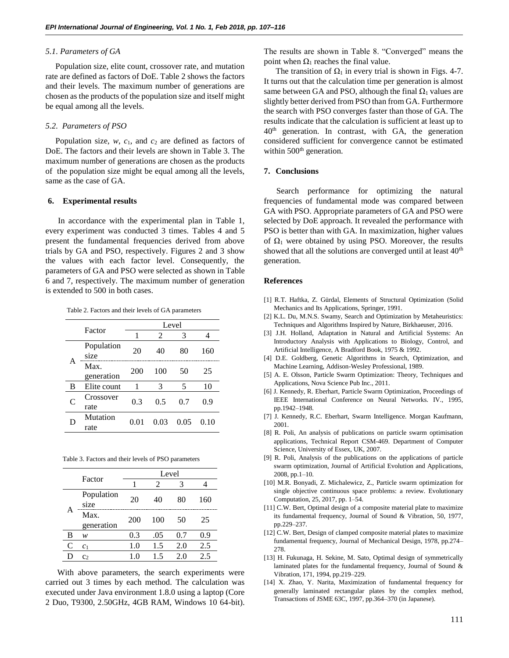#### *5.1. Parameters of GA*

Population size, elite count, crossover rate, and mutation rate are defined as factors of DoE. Table 2 shows the factors and their levels. The maximum number of generations are chosen as the products of the population size and itself might be equal among all the levels.

#### *5.2. Parameters of PSO*

Population size, *w*, *c*1, and *c*<sup>2</sup> are defined as factors of DoE. The factors and their levels are shown in Table 3. The maximum number of generations are chosen as the products of the population size might be equal among all the levels, same as the case of GA.

#### **6. Experimental results**

In accordance with the experimental plan in Table 1, every experiment was conducted 3 times. Tables 4 and 5 present the fundamental frequencies derived from above trials by GA and PSO, respectively. Figures 2 and 3 show the values with each factor level. Consequently, the parameters of GA and PSO were selected as shown in Table 6 and 7, respectively. The maximum number of generation is extended to 500 in both cases.

Table 2. Factors and their levels of GA parameters

|               | Factor             |      | Level |      |      |
|---------------|--------------------|------|-------|------|------|
|               |                    | 1    | 2     | 3    |      |
|               | Population<br>size | 20   | 40    | 80   | 160  |
| А             | Max.<br>generation | 200  | 100   | 50   | 25   |
| B             | Elite count        | 1    | 3     | 5    | 10   |
| $\mathcal{C}$ | Crossover<br>rate  | 0.3  | 0.5   | 0.7  | 0.9  |
|               | Mutation<br>rate   | 0.01 | 0.03  | 0.05 | 0.10 |

Table 3. Factors and their levels of PSO parameters

|   | Factor             | Level |                |     |     |  |  |  |  |
|---|--------------------|-------|----------------|-----|-----|--|--|--|--|
|   |                    |       | $\mathfrak{D}$ | 3   |     |  |  |  |  |
|   | Population<br>size | 20    | 40             | 80  | 160 |  |  |  |  |
| Α | Max.<br>generation | 200   | 100            | 50  | 25  |  |  |  |  |
| B | w                  | 0.3   | .05            | 0.7 | 0.9 |  |  |  |  |
| C | c <sub>1</sub>     | 1.0   | 1.5            | 2.0 | 2.5 |  |  |  |  |
| D | C <sub>2</sub>     | 1.0   | 1.5            | 2.0 | 2.5 |  |  |  |  |

With above parameters, the search experiments were carried out 3 times by each method. The calculation was executed under Java environment 1.8.0 using a laptop (Core 2 Duo, T9300, 2.50GHz, 4GB RAM, Windows 10 64-bit).

The results are shown in Table 8. "Converged" means the point when  $Ω_1$  reaches the final value.

The transition of  $\Omega_1$  in every trial is shown in Figs. 4-7. It turns out that the calculation time per generation is almost same between GA and PSO, although the final  $\Omega_1$  values are slightly better derived from PSO than from GA. Furthermore the search with PSO converges faster than those of GA. The results indicate that the calculation is sufficient at least up to 40th generation. In contrast, with GA, the generation considered sufficient for convergence cannot be estimated within 500<sup>th</sup> generation.

#### **7. Conclusions**

Search performance for optimizing the natural frequencies of fundamental mode was compared between GA with PSO. Appropriate parameters of GA and PSO were selected by DoE approach. It revealed the performance with PSO is better than with GA. In maximization, higher values of  $\Omega_1$  were obtained by using PSO. Moreover, the results showed that all the solutions are converged until at least 40<sup>th</sup> generation.

#### **References**

- [1] R.T. Haftka, Z. Gürdal, Elements of Structural Optimization (Solid Mechanics and Its Applications, Springer, 1991.
- [2] K.L. Du, M.N.S. Swamy, Search and Optimization by Metaheuristics: Techniques and Algorithms Inspired by Nature, Birkhaeuser, 2016.
- [3] J.H. Holland, Adaptation in Natural and Artificial Systems: An Introductory Analysis with Applications to Biology, Control, and Artificial Intelligence, A Bradford Book, 1975 & 1992.
- [4] D.E. Goldberg, Genetic Algorithms in Search, Optimization, and Machine Learning, Addison-Wesley Professional, 1989.
- [5] A. E. Olsson, Particle Swarm Optimization: Theory, Techniques and Applications, Nova Science Pub Inc., 2011.
- [6] J. Kennedy, R. Eberhart, Particle Swarm Optimization, Proceedings of IEEE International Conference on Neural Networks. IV., 1995, pp.1942–1948.
- [7] J. Kennedy, R.C. Eberhart, Swarm Intelligence. Morgan Kaufmann, 2001.
- [8] R. Poli, An analysis of publications on particle swarm optimisation applications, Technical Report CSM-469. Department of Computer Science, University of Essex, UK, 2007.
- [9] R. Poli, Analysis of the publications on the applications of particle swarm optimization, Journal of Artificial Evolution and Applications, 2008, pp.1–10.
- [10] M.R. Bonyadi, Z. Michalewicz, Z., Particle swarm optimization for single objective continuous space problems: a review. Evolutionary Computation, 25, 2017, pp. 1–54.
- [11] C.W. Bert, Optimal design of a composite material plate to maximize its fundamental frequency, Journal of Sound & Vibration, 50, 1977, pp.229–237.
- [12] C.W. Bert, Design of clamped composite material plates to maximize fundamental frequency, Journal of Mechanical Design, 1978, pp.274– 278.
- [13] H. Fukunaga, H. Sekine, M. Sato, Optimal design of symmetrically laminated plates for the fundamental frequency, Journal of Sound & Vibration, 171, 1994, pp.219–229.
- [14] X. Zhao, Y. Narita, Maximization of fundamental frequency for generally laminated rectangular plates by the complex method, Transactions of JSME 63C, 1997, pp.364–370 (in Japanese).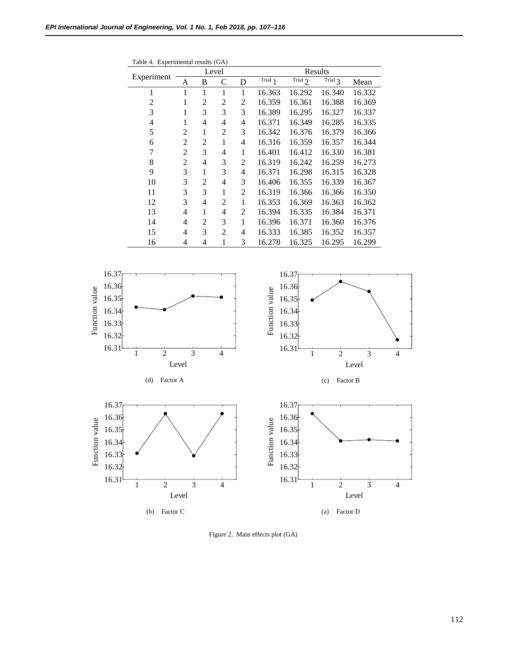| Table 4. Experimental results (GA) |                |                |                |                |           |           |           |        |  |  |
|------------------------------------|----------------|----------------|----------------|----------------|-----------|-----------|-----------|--------|--|--|
|                                    |                |                | Level          |                | Results   |           |           |        |  |  |
| Experiment                         | A              | B              | C              | D              | Trial $1$ | Trial $2$ | Trial $3$ | Mean   |  |  |
| 1                                  | 1              | 1              | 1              | 1              | 16.363    | 16.292    | 16.340    | 16.332 |  |  |
| 2                                  | 1              | 2              | 2              | 2              | 16.359    | 16.361    | 16.388    | 16.369 |  |  |
| 3                                  | 1              | 3              | 3              | 3              | 16.389    | 16.295    | 16.327    | 16.337 |  |  |
| 4                                  | 1              | $\overline{4}$ | $\overline{4}$ | $\overline{4}$ | 16.371    | 16.349    | 16.285    | 16.335 |  |  |
| 5                                  | $\overline{2}$ | 1              | 2              | 3              | 16.342    | 16.376    | 16.379    | 16.366 |  |  |
| 6                                  | 2              | $\overline{2}$ | 1              | 4              | 16.316    | 16.359    | 16.357    | 16.344 |  |  |
| 7                                  | 2              | 3              | 4              | 1              | 16.401    | 16.412    | 16.330    | 16.381 |  |  |
| 8                                  | 2              | 4              | 3              | 2              | 16.319    | 16.242    | 16.259    | 16.273 |  |  |
| 9                                  | 3              | 1              | 3              | 4              | 16.371    | 16.298    | 16.315    | 16.328 |  |  |
| 10                                 | 3              | $\overline{2}$ | 4              | 3              | 16.406    | 16.355    | 16.339    | 16.367 |  |  |
| 11                                 | 3              | 3              | 1              | 2              | 16.319    | 16.366    | 16.366    | 16.350 |  |  |
| 12                                 | 3              | $\overline{4}$ | 2              | 1              | 16.353    | 16.369    | 16.363    | 16.362 |  |  |
| 13                                 | $\overline{4}$ | 1              | 4              | 2              | 16.394    | 16.335    | 16.384    | 16.371 |  |  |
| 14                                 | 4              | $\overline{2}$ | 3              | 1              | 16.396    | 16.371    | 16.360    | 16.376 |  |  |
| 15                                 | 4              | 3              | 2              | 4              | 16.333    | 16.385    | 16.352    | 16.357 |  |  |
| 16                                 | 4              | 4              | 1              | 3              | 16.278    | 16.325    | 16.295    | 16.299 |  |  |



Figure 2. Main effects plot (GA)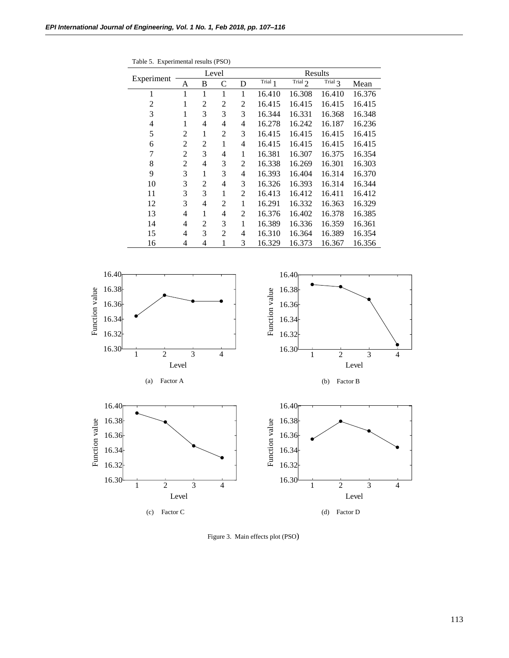Table 5. Experimental results (PSO)

|            |   |                | Level          |   | Results |           |           |        |  |  |
|------------|---|----------------|----------------|---|---------|-----------|-----------|--------|--|--|
| Experiment | A | B              | C              | D | Trial 1 | Trial $2$ | Trial $3$ | Mean   |  |  |
| 1          | 1 | 1              | 1              | 1 | 16.410  | 16.308    | 16.410    | 16.376 |  |  |
| 2          | 1 | $\overline{2}$ | $\overline{2}$ | 2 | 16.415  | 16.415    | 16.415    | 16.415 |  |  |
| 3          | 1 | 3              | 3              | 3 | 16.344  | 16.331    | 16.368    | 16.348 |  |  |
| 4          | 1 | $\overline{4}$ | 4              | 4 | 16.278  | 16.242    | 16.187    | 16.236 |  |  |
| 5          | 2 | 1              | $\overline{2}$ | 3 | 16.415  | 16.415    | 16.415    | 16.415 |  |  |
| 6          | 2 | $\overline{2}$ | 1              | 4 | 16.415  | 16.415    | 16.415    | 16.415 |  |  |
| 7          | 2 | 3              | 4              | 1 | 16.381  | 16.307    | 16.375    | 16.354 |  |  |
| 8          | 2 | 4              | 3              | 2 | 16.338  | 16.269    | 16.301    | 16.303 |  |  |
| 9          | 3 | 1              | 3              | 4 | 16.393  | 16.404    | 16.314    | 16.370 |  |  |
| 10         | 3 | $\overline{c}$ | 4              | 3 | 16.326  | 16.393    | 16.314    | 16.344 |  |  |
| 11         | 3 | 3              | 1              | 2 | 16.413  | 16.412    | 16.411    | 16.412 |  |  |
| 12         | 3 | 4              | 2              | 1 | 16.291  | 16.332    | 16.363    | 16.329 |  |  |
| 13         | 4 | 1              | 4              | 2 | 16.376  | 16.402    | 16.378    | 16.385 |  |  |
| 14         | 4 | $\overline{2}$ | 3              | 1 | 16.389  | 16.336    | 16.359    | 16.361 |  |  |
| 15         | 4 | 3              | $\overline{2}$ | 4 | 16.310  | 16.364    | 16.389    | 16.354 |  |  |
| 16         | 4 | 4              | 1              | 3 | 16.329  | 16.373    | 16.367    | 16.356 |  |  |



Figure 3. Main effects plot (PSO)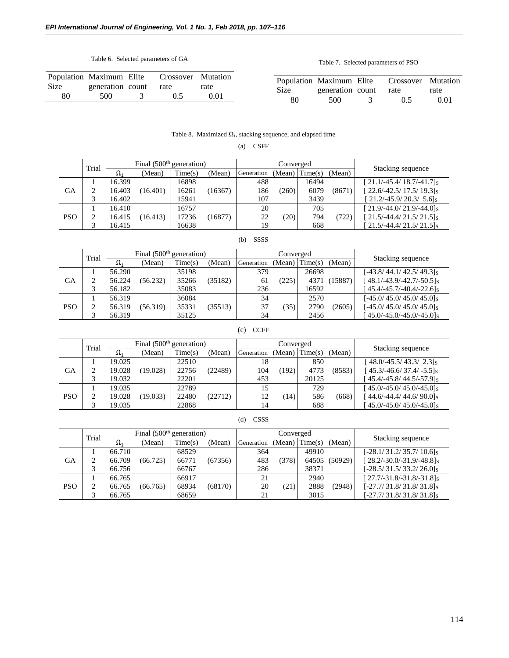# Table 6. Selected parameters of GA

Table 7. Selected parameters of PSO

| Population Maximum Elite |                  | Crossover Mutation |      |
|--------------------------|------------------|--------------------|------|
| Size                     | generation count | rate               | rate |
| 80                       | 500              | 0.5                | 0.01 |

|      | Population Maximum Elite |               | Crossover Mutation |      |
|------|--------------------------|---------------|--------------------|------|
| Size | generation count         |               | rate               | rate |
| 80   | 500                      | $\mathcal{L}$ | 0.5                | 0.01 |

# Table 8. Maximized  $\Omega_1$ , stacking sequence, and elapsed time

(a) CSFF

|            | Trial | Final $(500th$ generation) |          |        |         |        | Converged  |        |         |                                     |                   |
|------------|-------|----------------------------|----------|--------|---------|--------|------------|--------|---------|-------------------------------------|-------------------|
|            |       |                            | Ω.       | (Mean) | Time(s) | (Mean) | Generation | (Mean) | Time(s) | (Mean)                              | Stacking sequence |
|            |       | 16.399                     |          | 16898  |         | 488    |            | 16494  |         | $[21.1/-45.4/18.7/-41.7]$ s         |                   |
| GА         |       | 16.403                     | (16.401) | 16261  | (16367) | 186    | (260)      | 6079   | (8671)  | $[22.6/-42.5/17.5/19.3]$ s          |                   |
|            |       | 16.402                     |          | 15941  |         | 107    |            | 3439   |         | $[21.2/-45.9/20.3/5.6]$ s           |                   |
|            |       | 16.410                     |          | 16757  |         | 20     |            | 705    |         | $[21.9/-44.0/21.9/-44.0]$ s         |                   |
| <b>PSO</b> |       | 16.415                     | (16.413) | 17236  | (16877) | 22     | (20)       | 794    | (722)   | [21.5/-44.4/21.5/21.5] <sub>S</sub> |                   |
|            |       | 16.415                     |          | 16638  |         | 19     |            | 668    |         | $21.5/-44.4/21.5/21.5$ s            |                   |

# (b) SSSS

|            | Trial  | Final $(500th$ generation) |          |         |         |            | Converged |         |         |                                       |
|------------|--------|----------------------------|----------|---------|---------|------------|-----------|---------|---------|---------------------------------------|
|            |        | $\Omega_1$                 | (Mean)   | Time(s) | (Mean)  | Generation | (Mean)    | Time(s) | (Mean)  | Stacking sequence                     |
|            |        | 56.290                     |          | 35198   |         | 379        |           | 26698   |         | [-43.8/44.1/42.5/49.3] <sub>S</sub>   |
| GА         | ∠      | 56.224                     | (56.232) | 35266   | (35182) | 61         | (225)     | 4371    | (15887) | [48.1/-43.9/-42.7/-50.5] <sub>s</sub> |
|            |        | 56.182                     |          | 35083   |         | 236        |           | 16592   |         | $45.4/-45.7/-40.4/-22.6$ s            |
|            |        | 56.319                     |          | 36084   |         | 34         |           | 2570    |         | $[-45.0/45.0/45.0/45.0]$ s            |
| <b>PSO</b> | C<br>∼ | 56.319                     | (56.319) | 35331   | (35513) | 37         | (35)      | 2790    | (2605)  | $[-45.0/45.0/45.0/45.0]$ s            |
|            |        | 56.319                     |          | 35125   |         | 34         |           | 2456    |         | $45.0/-45.0/-45.0/-45.0$ s            |

# (c) CCFF

|            |       | Final $(500th$ generation) |          |         |         | Converged  |        |         |        |                            |  |
|------------|-------|----------------------------|----------|---------|---------|------------|--------|---------|--------|----------------------------|--|
|            | Trial | $\Omega_1$                 | (Mean)   | Time(s) | (Mean)  | Generation | (Mean) | Time(s) | (Mean) | Stacking sequence          |  |
|            |       | 19.025                     |          | 22510   |         | 18         |        | 850     |        | $148.0/-45.5/43.3/2.3$     |  |
| GА         |       | 19.028                     | (19.028) | 22756   | (22489) | 104        | (192)  | 4773    | (8583) | $[45.3/-46.6/37.4/-5.5]$ s |  |
|            |       | 19.032                     |          | 22201   |         | 453        |        | 20125   |        | $45.4/-45.8/44.5/-57.9$ s  |  |
|            |       | 19.035                     |          | 22789   |         | 15         |        | 729     |        | $45.0/-45.0/45.0/-45.0$ s  |  |
| <b>PSO</b> | ↑     | 19.028                     | (19.033) | 22480   | (22712) | 12         | 14)    | 586     | (668)  | $[44.6/-44.4/44.6/90.0]$ s |  |
|            |       | 19.035                     |          | 22868   |         | 14         |        | 688     |        | $45.0/-45.0/45.0/-45.0$ s  |  |

# (d) CSSS

|            | Trial | Final $(500th$ generation) |          |         |         |            | Converged |                  |         |                                     |  |
|------------|-------|----------------------------|----------|---------|---------|------------|-----------|------------------|---------|-------------------------------------|--|
|            |       | $\Omega_1$                 | (Mean)   | Time(s) | (Mean)  | Generation |           | $(Mean)$ Time(s) | (Mean)  | Stacking sequence                   |  |
|            |       | 66.710                     |          | 68529   |         | 364        |           | 49910            |         | $[-28.1/31.2/35.7/10.6]$ s          |  |
| GА         |       | 66.709                     | (66.725) | 66771   | (67356) | 483        | (378)     | 64505            | (50929) | $[28.2/-30.0/-31.9/-48.8]$ s        |  |
|            |       | 66.756                     |          | 66767   |         | 286        |           | 38371            |         | $[-28.5/31.5/33.2/26.0]$ s          |  |
|            |       | 66.765                     |          | 66917   |         | 21         |           | 2940             |         | $[27.7/-31.8/-31.8/-31.8]$ s        |  |
| <b>PSO</b> | ↑     | 66.765                     | (66.765) | 68934   | (68170) | 20         | (21)      | 2888             | (2948)  | [-27.7/31.8/31.8/31.8] <sub>S</sub> |  |
|            |       | 66.765                     |          | 68659   |         | 21         |           | 3015             |         | $[-27.7/31.8/31.8/31.8]$            |  |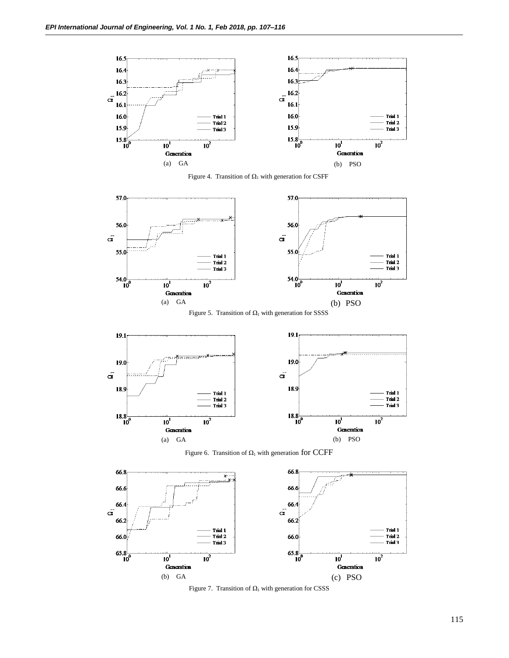

Figure 4. Transition of  $\Omega_1$  with generation for CSFF



Figure 5. Transition of  $\Omega_1$  with generation for SSSS



Figure 6. Transition of  $\Omega_1$  with generation for CCFF



Figure 7. Transition of  $\Omega_1$  with generation for CSSS